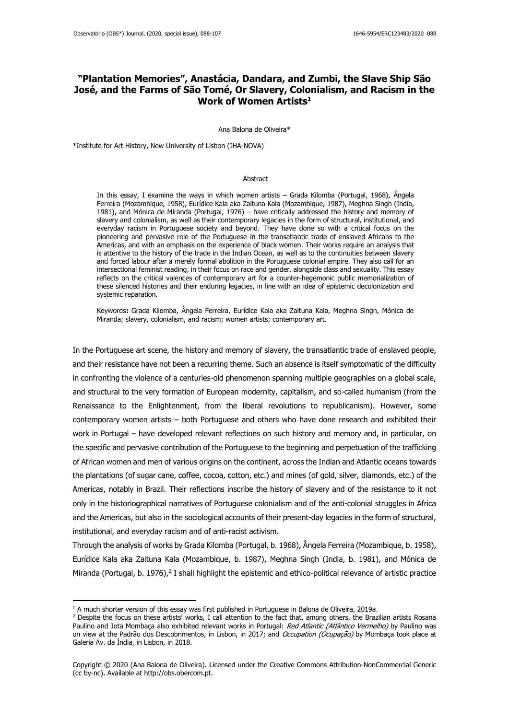## **"Plantation Memories", Anastácia, Dandara, and Zumbi, the Slave Ship São José, and the Farms of São Tomé, Or Slavery, Colonialism, and Racism in the Work of Women Artists<sup>1</sup>**

Ana Balona de Oliveira\*

\*Institute for Art History, New University of Lisbon (IHA-NOVA)

#### **Abstract**

In this essay, I examine the ways in which women artists – Grada Kilomba (Portugal, 1968), Ângela Ferreira (Mozambique, 1958), Eurídice Kala aka Zaituna Kala (Mozambique, 1987), Meghna Singh (India, 1981), and Mónica de Miranda (Portugal, 1976) – have critically addressed the history and memory of slavery and colonialism, as well as their contemporary legacies in the form of structural, institutional, and everyday racism in Portuguese society and beyond. They have done so with a critical focus on the pioneering and pervasive role of the Portuguese in the transatlantic trade of enslaved Africans to the Americas, and with an emphasis on the experience of black women. Their works require an analysis that is attentive to the history of the trade in the Indian Ocean, as well as to the continuities between slavery and forced labour after a merely formal abolition in the Portuguese colonial empire. They also call for an intersectional feminist reading, in their focus on race and gender, alongside class and sexuality. This essay reflects on the critical valences of contemporary art for a counter-hegemonic public memorialization of these silenced histories and their enduring legacies, in line with an idea of epistemic decolonization and systemic reparation.

Keywords**:** Grada Kilomba, Ângela Ferreira, Eurídice Kala aka Zaituna Kala, Meghna Singh, Mónica de Miranda; slavery, colonialism, and racism; women artists; contemporary art.

In the Portuguese art scene, the history and memory of slavery, the transatlantic trade of enslaved people, and their resistance have not been a recurring theme. Such an absence is itself symptomatic of the difficulty in confronting the violence of a centuries-old phenomenon spanning multiple geographies on a global scale, and structural to the very formation of European modernity, capitalism, and so-called humanism (from the Renaissance to the Enlightenment, from the liberal revolutions to republicanism). However, some contemporary women artists – both Portuguese and others who have done research and exhibited their work in Portugal – have developed relevant reflections on such history and memory and, in particular, on the specific and pervasive contribution of the Portuguese to the beginning and perpetuation of the trafficking of African women and men of various origins on the continent, across the Indian and Atlantic oceans towards the plantations (of sugar cane, coffee, cocoa, cotton, etc.) and mines (of gold, silver, diamonds, etc.) of the Americas, notably in Brazil. Their reflections inscribe the history of slavery and of the resistance to it not only in the historiographical narratives of Portuguese colonialism and of the anti-colonial struggles in Africa and the Americas, but also in the sociological accounts of their present-day legacies in the form of structural, institutional, and everyday racism and of anti-racist activism.

Through the analysis of works by Grada Kilomba (Portugal, b. 1968), Ângela Ferreira (Mozambique, b. 1958), Eurídice Kala aka Zaituna Kala (Mozambique, b. 1987), Meghna Singh (India, b. 1981), and Mónica de Miranda (Portugal, b. 1976),<sup>2</sup> I shall highlight the epistemic and ethico-political relevance of artistic practice

 $1$  A much shorter version of this essay was first published in Portuguese in Balona de Oliveira, 2019a.

<sup>&</sup>lt;sup>2</sup> Despite the focus on these artists' works, I call attention to the fact that, among others, the Brazilian artists Rosana Paulino and Jota Mombaça also exhibited relevant works in Portugal: Red Atlantic (Atlântico Vermelho) by Paulino was on view at the Padrão dos Descobrimentos, in Lisbon, in 2017; and Occupation (Ocupação) by Mombaça took place at Galeria Av. da Índia, in Lisbon, in 2018.

Copyright © 2020 (Ana Balona de Oliveira). Licensed under the Creative Commons Attribution-NonCommercial Generic (cc by-nc). Available at http://obs.obercom.pt.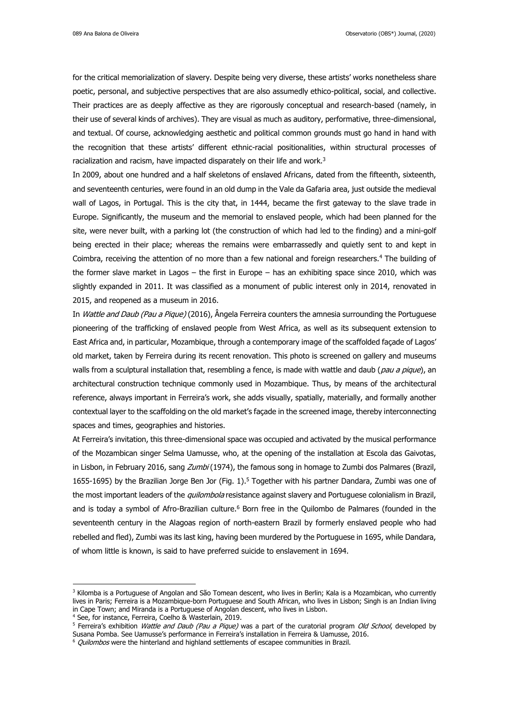for the critical memorialization of slavery. Despite being very diverse, these artists' works nonetheless share poetic, personal, and subjective perspectives that are also assumedly ethico-political, social, and collective. Their practices are as deeply affective as they are rigorously conceptual and research-based (namely, in their use of several kinds of archives). They are visual as much as auditory, performative, three-dimensional, and textual. Of course, acknowledging aesthetic and political common grounds must go hand in hand with the recognition that these artists' different ethnic-racial positionalities, within structural processes of racialization and racism, have impacted disparately on their life and work.<sup>3</sup>

In 2009, about one hundred and a half skeletons of enslaved Africans, dated from the fifteenth, sixteenth, and seventeenth centuries, were found in an old dump in the Vale da Gafaria area, just outside the medieval wall of Lagos, in Portugal. This is the city that, in 1444, became the first gateway to the slave trade in Europe. Significantly, the museum and the memorial to enslaved people, which had been planned for the site, were never built, with a parking lot (the construction of which had led to the finding) and a mini-golf being erected in their place; whereas the remains were embarrassedly and quietly sent to and kept in Coimbra, receiving the attention of no more than a few national and foreign researchers.<sup>4</sup> The building of the former slave market in Lagos – the first in Europe – has an exhibiting space since 2010, which was slightly expanded in 2011. It was classified as a monument of public interest only in 2014, renovated in 2015, and reopened as a museum in 2016.

In *Wattle and Daub (Pau a Pique)* (2016), Ângela Ferreira counters the amnesia surrounding the Portuguese pioneering of the trafficking of enslaved people from West Africa, as well as its subsequent extension to East Africa and, in particular, Mozambique, through a contemporary image of the scaffolded façade of Lagos' old market, taken by Ferreira during its recent renovation. This photo is screened on gallery and museums walls from a sculptural installation that, resembling a fence, is made with wattle and daub (pau a pique), an architectural construction technique commonly used in Mozambique. Thus, by means of the architectural reference, always important in Ferreira's work, she adds visually, spatially, materially, and formally another contextual layer to the scaffolding on the old market's façade in the screened image, thereby interconnecting spaces and times, geographies and histories.

At Ferreira's invitation, this three-dimensional space was occupied and activated by the musical performance of the Mozambican singer Selma Uamusse, who, at the opening of the installation at Escola das Gaivotas, in Lisbon, in February 2016, sang Zumbi (1974), the famous song in homage to Zumbi dos Palmares (Brazil, 1655-1695) by the Brazilian Jorge Ben Jor (Fig. 1). <sup>5</sup> Together with his partner Dandara, Zumbi was one of the most important leaders of the *quilombola* resistance against slavery and Portuguese colonialism in Brazil, and is today a symbol of Afro-Brazilian culture.<sup>6</sup> Born free in the Quilombo de Palmares (founded in the seventeenth century in the Alagoas region of north-eastern Brazil by formerly enslaved people who had rebelled and fled), Zumbi was its last king, having been murdered by the Portuguese in 1695, while Dandara, of whom little is known, is said to have preferred suicide to enslavement in 1694.

<sup>&</sup>lt;sup>3</sup> Kilomba is a Portuguese of Angolan and São Tomean descent, who lives in Berlin; Kala is a Mozambican, who currently lives in Paris; Ferreira is a Mozambique-born Portuguese and South African, who lives in Lisbon; Singh is an Indian living in Cape Town; and Miranda is a Portuguese of Angolan descent, who lives in Lisbon.

<sup>4</sup> See, for instance, Ferreira, Coelho & Wasterlain, 2019.

<sup>&</sup>lt;sup>5</sup> Ferreira's exhibition Wattle and Daub (Pau a Pique) was a part of the curatorial program Old School, developed by Susana Pomba. See Uamusse's performance in Ferreira's installation in Ferreira & Uamusse, 2016.

 $6$  *Ouilombos* were the hinterland and highland settlements of escapee communities in Brazil.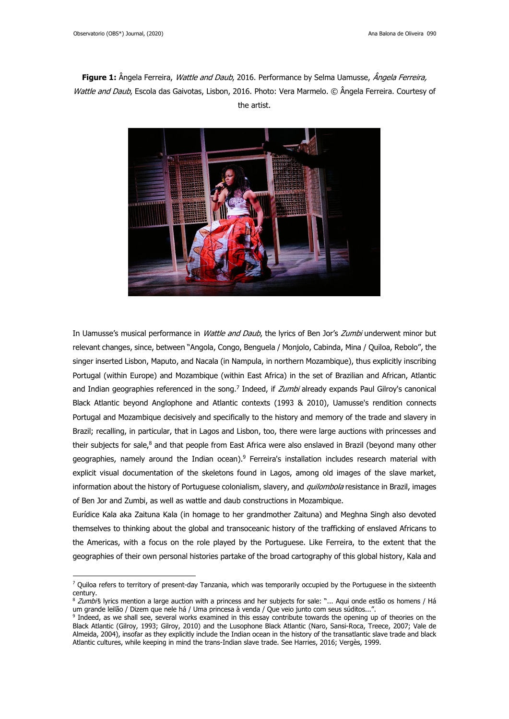# **Figure 1:** Ângela Ferreira, Wattle and Daub, 2016. Performance by Selma Uamusse, Ângela Ferreira, Wattle and Daub, Escola das Gaivotas, Lisbon, 2016. Photo: Vera Marmelo. © Ângela Ferreira. Courtesy of the artist.



In Uamusse's musical performance in *Wattle and Daub*, the lyrics of Ben Jor's *Zumbi* underwent minor but relevant changes, since, between "Angola, Congo, Benguela / Monjolo, Cabinda, Mina / Quiloa, Rebolo", the singer inserted Lisbon, Maputo, and Nacala (in Nampula, in northern Mozambique), thus explicitly inscribing Portugal (within Europe) and Mozambique (within East Africa) in the set of Brazilian and African, Atlantic and Indian geographies referenced in the song.<sup>7</sup> Indeed, if *Zumbi* already expands Paul Gilroy's canonical Black Atlantic beyond Anglophone and Atlantic contexts (1993 & 2010), Uamusse's rendition connects Portugal and Mozambique decisively and specifically to the history and memory of the trade and slavery in Brazil; recalling, in particular, that in Lagos and Lisbon, too, there were large auctions with princesses and their subjects for sale.<sup>8</sup> and that people from East Africa were also enslaved in Brazil (beyond many other geographies, namely around the Indian ocean).<sup>9</sup> Ferreira's installation includes research material with explicit visual documentation of the skeletons found in Lagos, among old images of the slave market, information about the history of Portuguese colonialism, slavery, and quilombola resistance in Brazil, images of Ben Jor and Zumbi, as well as wattle and daub constructions in Mozambique.

Eurídice Kala aka Zaituna Kala (in homage to her grandmother Zaituna) and Meghna Singh also devoted themselves to thinking about the global and transoceanic history of the trafficking of enslaved Africans to the Americas, with a focus on the role played by the Portuguese. Like Ferreira, to the extent that the geographies of their own personal histories partake of the broad cartography of this global history, Kala and

 $7$  Ouiloa refers to territory of present-day Tanzania, which was temporarily occupied by the Portuguese in the sixteenth century.

<sup>8</sup> Zumbi's lyrics mention a large auction with a princess and her subjects for sale: "... Aqui onde estão os homens / Há um grande leilão / Dizem que nele há / Uma princesa à venda / Que veio junto com seus súditos...".

<sup>9</sup> Indeed, as we shall see, several works examined in this essay contribute towards the opening up of theories on the Black Atlantic (Gilroy, 1993; Gilroy, 2010) and the Lusophone Black Atlantic (Naro, Sansi-Roca, Treece, 2007; Vale de Almeida, 2004), insofar as they explicitly include the Indian ocean in the history of the transatlantic slave trade and black Atlantic cultures, while keeping in mind the trans-Indian slave trade. See Harries, 2016; Vergès, 1999.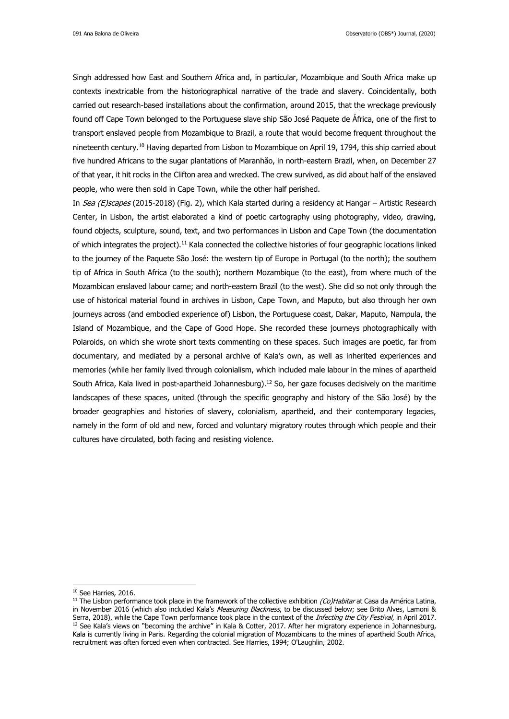Singh addressed how East and Southern Africa and, in particular, Mozambique and South Africa make up contexts inextricable from the historiographical narrative of the trade and slavery. Coincidentally, both carried out research-based installations about the confirmation, around 2015, that the wreckage previously found off Cape Town belonged to the Portuguese slave ship São José Paquete de África, one of the first to transport enslaved people from Mozambique to Brazil, a route that would become frequent throughout the nineteenth century.<sup>10</sup> Having departed from Lisbon to Mozambique on April 19, 1794, this ship carried about five hundred Africans to the sugar plantations of Maranhão, in north-eastern Brazil, when, on December 27 of that year, it hit rocks in the Clifton area and wrecked. The crew survived, as did about half of the enslaved people, who were then sold in Cape Town, while the other half perished.

In Sea (E)scapes (2015-2018) (Fig. 2), which Kala started during a residency at Hangar – Artistic Research Center, in Lisbon, the artist elaborated a kind of poetic cartography using photography, video, drawing, found objects, sculpture, sound, text, and two performances in Lisbon and Cape Town (the documentation of which integrates the project).<sup>11</sup> Kala connected the collective histories of four geographic locations linked to the journey of the Paquete São José: the western tip of Europe in Portugal (to the north); the southern tip of Africa in South Africa (to the south); northern Mozambique (to the east), from where much of the Mozambican enslaved labour came; and north-eastern Brazil (to the west). She did so not only through the use of historical material found in archives in Lisbon, Cape Town, and Maputo, but also through her own journeys across (and embodied experience of) Lisbon, the Portuguese coast, Dakar, Maputo, Nampula, the Island of Mozambique, and the Cape of Good Hope. She recorded these journeys photographically with Polaroids, on which she wrote short texts commenting on these spaces. Such images are poetic, far from documentary, and mediated by a personal archive of Kala's own, as well as inherited experiences and memories (while her family lived through colonialism, which included male labour in the mines of apartheid South Africa, Kala lived in post-apartheid Johannesburg).<sup>12</sup> So, her gaze focuses decisively on the maritime landscapes of these spaces, united (through the specific geography and history of the São José) by the broader geographies and histories of slavery, colonialism, apartheid, and their contemporary legacies, namely in the form of old and new, forced and voluntary migratory routes through which people and their cultures have circulated, both facing and resisting violence.

<sup>&</sup>lt;sup>10</sup> See Harries, 2016.

<sup>&</sup>lt;sup>11</sup> The Lisbon performance took place in the framework of the collective exhibition  $(Co)$ Habitar at Casa da América Latina, in November 2016 (which also included Kala's Measuring Blackness, to be discussed below; see Brito Alves, Lamoni & Serra, 2018), while the Cape Town performance took place in the context of the Infecting the City Festival, in April 2017.  $12$  See Kala's views on "becoming the archive" in Kala & Cotter, 2017. After her migratory experience in Johannesburg, Kala is currently living in Paris. Regarding the colonial migration of Mozambicans to the mines of apartheid South Africa, recruitment was often forced even when contracted. See Harries, 1994; O'Laughlin, 2002.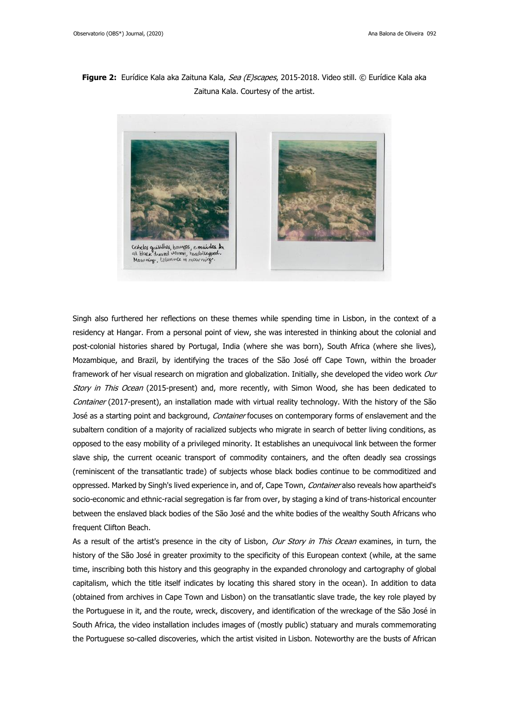## **Figure 2:** Eurídice Kala aka Zaituna Kala, Sea (E)scapes, 2015-2018. Video still. © Eurídice Kala aka Zaituna Kala. Courtesy of the artist.



Singh also furthered her reflections on these themes while spending time in Lisbon, in the context of a residency at Hangar. From a personal point of view, she was interested in thinking about the colonial and post-colonial histories shared by Portugal, India (where she was born), South Africa (where she lives), Mozambique, and Brazil, by identifying the traces of the São José off Cape Town, within the broader framework of her visual research on migration and globalization. Initially, she developed the video work Our Story in This Ocean (2015-present) and, more recently, with Simon Wood, she has been dedicated to Container (2017-present), an installation made with virtual reality technology. With the history of the São José as a starting point and background, Container focuses on contemporary forms of enslavement and the subaltern condition of a majority of racialized subjects who migrate in search of better living conditions, as opposed to the easy mobility of a privileged minority. It establishes an unequivocal link between the former slave ship, the current oceanic transport of commodity containers, and the often deadly sea crossings (reminiscent of the transatlantic trade) of subjects whose black bodies continue to be commoditized and oppressed. Marked by Singh's lived experience in, and of, Cape Town, Container also reveals how apartheid's socio-economic and ethnic-racial segregation is far from over, by staging a kind of trans-historical encounter between the enslaved black bodies of the São José and the white bodies of the wealthy South Africans who frequent Clifton Beach.

As a result of the artist's presence in the city of Lisbon, Our Story in This Ocean examines, in turn, the history of the São José in greater proximity to the specificity of this European context (while, at the same time, inscribing both this history and this geography in the expanded chronology and cartography of global capitalism, which the title itself indicates by locating this shared story in the ocean). In addition to data (obtained from archives in Cape Town and Lisbon) on the transatlantic slave trade, the key role played by the Portuguese in it, and the route, wreck, discovery, and identification of the wreckage of the São José in South Africa, the video installation includes images of (mostly public) statuary and murals commemorating the Portuguese so-called discoveries, which the artist visited in Lisbon. Noteworthy are the busts of African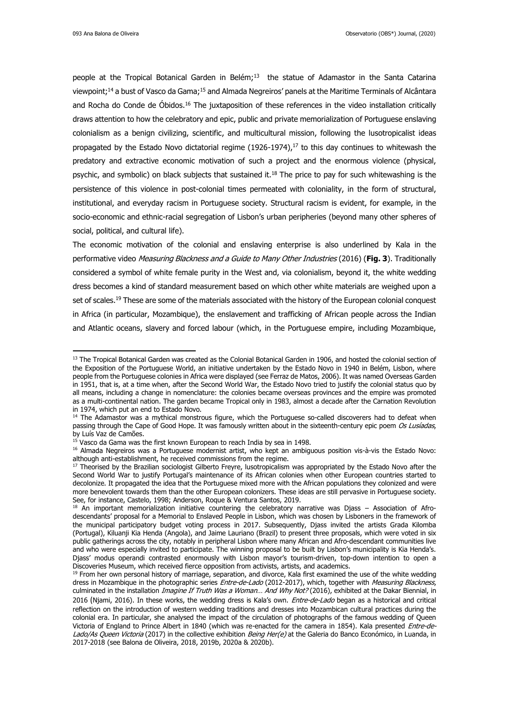people at the Tropical Botanical Garden in Belém;<sup>13</sup> the statue of Adamastor in the Santa Catarina viewpoint;<sup>14</sup> a bust of Vasco da Gama;<sup>15</sup> and Almada Negreiros' panels at the Maritime Terminals of Alcântara and Rocha do Conde de Óbidos.<sup>16</sup> The juxtaposition of these references in the video installation critically draws attention to how the celebratory and epic, public and private memorialization of Portuguese enslaving colonialism as a benign civilizing, scientific, and multicultural mission, following the lusotropicalist ideas propagated by the Estado Novo dictatorial regime  $(1926-1974)$ ,<sup>17</sup> to this day continues to whitewash the predatory and extractive economic motivation of such a project and the enormous violence (physical, psychic, and symbolic) on black subjects that sustained it.<sup>18</sup> The price to pay for such whitewashing is the persistence of this violence in post-colonial times permeated with coloniality, in the form of structural, institutional, and everyday racism in Portuguese society. Structural racism is evident, for example, in the socio-economic and ethnic-racial segregation of Lisbon's urban peripheries (beyond many other spheres of social, political, and cultural life).

The economic motivation of the colonial and enslaving enterprise is also underlined by Kala in the performative video Measuring Blackness and a Guide to Many Other Industries (2016) (**Fig. 3**). Traditionally considered a symbol of white female purity in the West and, via colonialism, beyond it, the white wedding dress becomes a kind of standard measurement based on which other white materials are weighed upon a set of scales.<sup>19</sup> These are some of the materials associated with the history of the European colonial conquest in Africa (in particular, Mozambique), the enslavement and trafficking of African people across the Indian and Atlantic oceans, slavery and forced labour (which, in the Portuguese empire, including Mozambique,

<sup>&</sup>lt;sup>13</sup> The Tropical Botanical Garden was created as the Colonial Botanical Garden in 1906, and hosted the colonial section of the Exposition of the Portuguese World, an initiative undertaken by the Estado Novo in 1940 in Belém, Lisbon, where people from the Portuguese colonies in Africa were displayed (see Ferraz de Matos, 2006). It was named Overseas Garden in 1951, that is, at a time when, after the Second World War, the Estado Novo tried to justify the colonial status quo by all means, including a change in nomenclature: the colonies became overseas provinces and the empire was promoted as a multi-continental nation. The garden became Tropical only in 1983, almost a decade after the Carnation Revolution in 1974, which put an end to Estado Novo.

<sup>&</sup>lt;sup>14</sup> The Adamastor was a mythical monstrous figure, which the Portuguese so-called discoverers had to defeat when passing through the Cape of Good Hope. It was famously written about in the sixteenth-century epic poem Os Lusíadas, by Luís Vaz de Camões.

 $15$  Vasco da Gama was the first known European to reach India by sea in 1498.

<sup>&</sup>lt;sup>16</sup> Almada Negreiros was a Portuguese modernist artist, who kept an ambiguous position vis-à-vis the Estado Novo: although anti-establishment, he received commissions from the regime.

<sup>&</sup>lt;sup>17</sup> Theorised by the Brazilian sociologist Gilberto Freyre, lusotropicalism was appropriated by the Estado Novo after the Second World War to justify Portugal's maintenance of its African colonies when other European countries started to decolonize. It propagated the idea that the Portuguese mixed more with the African populations they colonized and were more benevolent towards them than the other European colonizers. These ideas are still pervasive in Portuguese society. See, for instance, Castelo, 1998; Anderson, Roque & Ventura Santos, 2019.

 $18$  An important memorialization initiative countering the celebratory narrative was Diass – Association of Afrodescendants' proposal for a Memorial to Enslaved People in Lisbon, which was chosen by Lisboners in the framework of the municipal participatory budget voting process in 2017. Subsequently, Djass invited the artists Grada Kilomba (Portugal), Kiluanji Kia Henda (Angola), and Jaime Lauriano (Brazil) to present three proposals, which were voted in six public gatherings across the city, notably in peripheral Lisbon where many African and Afro-descendant communities live and who were especially invited to participate. The winning proposal to be built by Lisbon's municipality is Kia Henda's. Djass' modus operandi contrasted enormously with Lisbon mayor's tourism-driven, top-down intention to open a Discoveries Museum, which received fierce opposition from activists, artists, and academics.

<sup>&</sup>lt;sup>19</sup> From her own personal history of marriage, separation, and divorce, Kala first examined the use of the white wedding dress in Mozambique in the photographic series Entre-de-Lado (2012-2017), which, together with Measuring Blackness, culminated in the installation Imagine If Truth Was a Woman... And Why Not? (2016), exhibited at the Dakar Biennial, in 2016 (Njami, 2016). In these works, the wedding dress is Kala's own. *Entre-de-Lado* began as a historical and critical reflection on the introduction of western wedding traditions and dresses into Mozambican cultural practices during the colonial era. In particular, she analysed the impact of the circulation of photographs of the famous wedding of Queen Victoria of England to Prince Albert in 1840 (which was re-enacted for the camera in 1854). Kala presented Entre-de-Lado/As Queen Victoria (2017) in the collective exhibition Being Her(e) at the Galeria do Banco Económico, in Luanda, in 2017-2018 (see Balona de Oliveira, 2018, 2019b, 2020a & 2020b).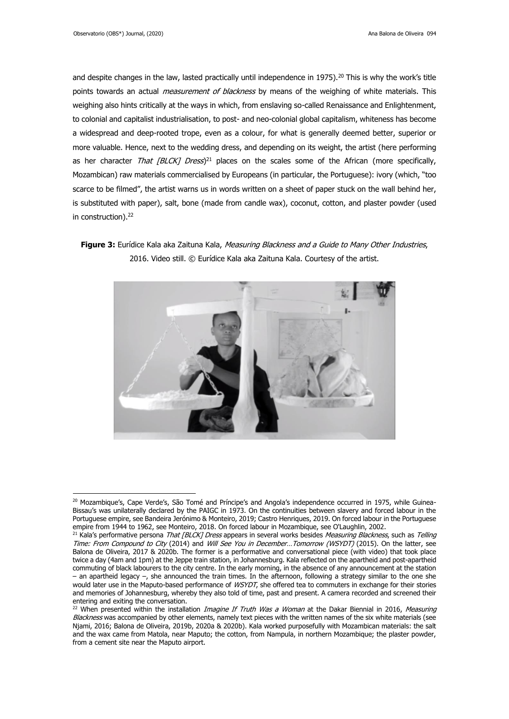and despite changes in the law, lasted practically until independence in 1975).<sup>20</sup> This is why the work's title points towards an actual *measurement of blackness* by means of the weighing of white materials. This weighing also hints critically at the ways in which, from enslaving so-called Renaissance and Enlightenment, to colonial and capitalist industrialisation, to post- and neo-colonial global capitalism, whiteness has become a widespread and deep-rooted trope, even as a colour, for what is generally deemed better, superior or more valuable. Hence, next to the wedding dress, and depending on its weight, the artist (here performing as her character *That [BLCK] Dress*)<sup>21</sup> places on the scales some of the African (more specifically, Mozambican) raw materials commercialised by Europeans (in particular, the Portuguese): ivory (which, "too scarce to be filmed", the artist warns us in words written on a sheet of paper stuck on the wall behind her, is substituted with paper), salt, bone (made from candle wax), coconut, cotton, and plaster powder (used in construction). 22

**Figure 3:** Eurídice Kala aka Zaituna Kala, Measuring Blackness and a Guide to Many Other Industries, 2016. Video still. © Eurídice Kala aka Zaituna Kala. Courtesy of the artist.



<sup>&</sup>lt;sup>20</sup> Mozambique's, Cape Verde's, São Tomé and Príncipe's and Angola's independence occurred in 1975, while Guinea-Bissau's was unilaterally declared by the PAIGC in 1973. On the continuities between slavery and forced labour in the Portuguese empire, see Bandeira Jerónimo & Monteiro, 2019; Castro Henriques, 2019. On forced labour in the Portuguese empire from 1944 to 1962, see Monteiro, 2018. On forced labour in Mozambique, see O'Laughlin, 2002.

<sup>&</sup>lt;sup>21</sup> Kala's performative persona That [BLCK] Dress appears in several works besides Measuring Blackness, such as Telling Time: From Compound to City (2014) and Will See You in December...Tomorrow (WSYDT) (2015). On the latter, see Balona de Oliveira, 2017 & 2020b. The former is a performative and conversational piece (with video) that took place twice a day (4am and 1pm) at the Jeppe train station, in Johannesburg. Kala reflected on the apartheid and post-apartheid commuting of black labourers to the city centre. In the early morning, in the absence of any announcement at the station – an apartheid legacy –, she announced the train times. In the afternoon, following a strategy similar to the one she would later use in the Maputo-based performance of *WSYDT*, she offered tea to commuters in exchange for their stories and memories of Johannesburg, whereby they also told of time, past and present. A camera recorded and screened their entering and exiting the conversation.

<sup>&</sup>lt;sup>22</sup> When presented within the installation *Imagine If Truth Was a Woman* at the Dakar Biennial in 2016, Measuring Blackness was accompanied by other elements, namely text pieces with the written names of the six white materials (see Njami, 2016; Balona de Oliveira, 2019b, 2020a & 2020b). Kala worked purposefully with Mozambican materials: the salt and the wax came from Matola, near Maputo; the cotton, from Nampula, in northern Mozambique; the plaster powder, from a cement site near the Maputo airport.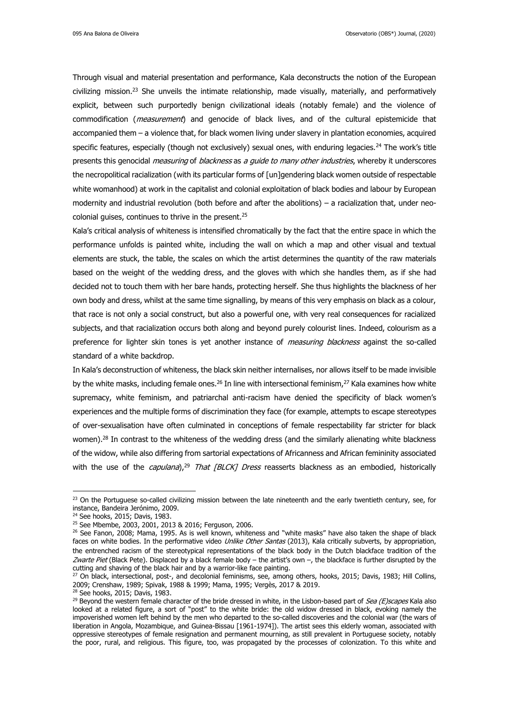Through visual and material presentation and performance, Kala deconstructs the notion of the European civilizing mission.<sup>23</sup> She unveils the intimate relationship, made visually, materially, and performatively explicit, between such purportedly benign civilizational ideals (notably female) and the violence of commodification (*measurement*) and genocide of black lives, and of the cultural epistemicide that accompanied them – a violence that, for black women living under slavery in plantation economies, acquired specific features, especially (though not exclusively) sexual ones, with enduring legacies.<sup>24</sup> The work's title presents this genocidal *measuring* of *blackness* as a guide to many other industries, whereby it underscores the necropolitical racialization (with its particular forms of [un]gendering black women outside of respectable white womanhood) at work in the capitalist and colonial exploitation of black bodies and labour by European modernity and industrial revolution (both before and after the abolitions) – a racialization that, under neocolonial guises, continues to thrive in the present.<sup>25</sup>

Kala's critical analysis of whiteness is intensified chromatically by the fact that the entire space in which the performance unfolds is painted white, including the wall on which a map and other visual and textual elements are stuck, the table, the scales on which the artist determines the quantity of the raw materials based on the weight of the wedding dress, and the gloves with which she handles them, as if she had decided not to touch them with her bare hands, protecting herself. She thus highlights the blackness of her own body and dress, whilst at the same time signalling, by means of this very emphasis on black as a colour, that race is not only a social construct, but also a powerful one, with very real consequences for racialized subjects, and that racialization occurs both along and beyond purely colourist lines. Indeed, colourism as a preference for lighter skin tones is yet another instance of *measuring blackness* against the so-called standard of a white backdrop.

In Kala's deconstruction of whiteness, the black skin neither internalises, nor allows itself to be made invisible by the white masks, including female ones.<sup>26</sup> In line with intersectional feminism,<sup>27</sup> Kala examines how white supremacy, white feminism, and patriarchal anti-racism have denied the specificity of black women's experiences and the multiple forms of discrimination they face (for example, attempts to escape stereotypes of over-sexualisation have often culminated in conceptions of female respectability far stricter for black women). $28$  In contrast to the whiteness of the wedding dress (and the similarly alienating white blackness of the widow, while also differing from sartorial expectations of Africanness and African femininity associated with the use of the *capulana*),<sup>29</sup> That [BLCK] Dress reasserts blackness as an embodied, historically

<sup>&</sup>lt;sup>23</sup> On the Portuguese so-called civilizing mission between the late nineteenth and the early twentieth century, see, for instance, Bandeira Jerónimo, 2009.

<sup>24</sup> See hooks, 2015; Davis, 1983.

<sup>25</sup> See Mbembe, 2003, 2001, 2013 & 2016; Ferguson, 2006.

<sup>&</sup>lt;sup>26</sup> See Fanon, 2008; Mama, 1995. As is well known, whiteness and "white masks" have also taken the shape of black faces on white bodies. In the performative video Unlike Other Santas (2013), Kala critically subverts, by appropriation, the entrenched racism of the stereotypical representations of the black body in the Dutch blackface tradition of the Zwarte Piet (Black Pete). Displaced by a black female body – the artist's own –, the blackface is further disrupted by the cutting and shaving of the black hair and by a warrior-like face painting.

<sup>&</sup>lt;sup>27</sup> On black, intersectional, post-, and decolonial feminisms, see, among others, hooks, 2015; Davis, 1983; Hill Collins, 2009; Crenshaw, 1989; Spivak, 1988 & 1999; Mama, 1995; Vergès, 2017 & 2019.

<sup>28</sup> See hooks, 2015; Davis, 1983.

<sup>&</sup>lt;sup>29</sup> Beyond the western female character of the bride dressed in white, in the Lisbon-based part of Sea (E)scapes Kala also looked at a related figure, a sort of "post" to the white bride: the old widow dressed in black, evoking namely the impoverished women left behind by the men who departed to the so-called discoveries and the colonial war (the wars of liberation in Angola, Mozambique, and Guinea-Bissau [1961-1974]). The artist sees this elderly woman, associated with oppressive stereotypes of female resignation and permanent mourning, as still prevalent in Portuguese society, notably the poor, rural, and religious. This figure, too, was propagated by the processes of colonization. To this white and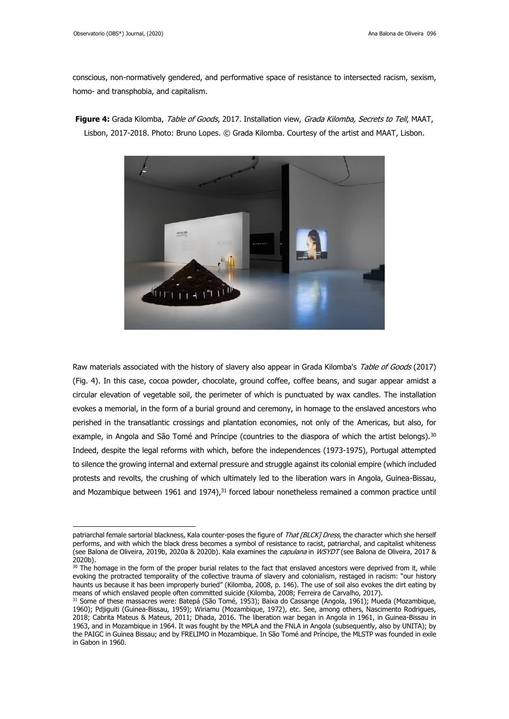conscious, non-normatively gendered, and performative space of resistance to intersected racism, sexism, homo- and transphobia, and capitalism.



**Figure 4:** Grada Kilomba, Table of Goods, 2017. Installation view, Grada Kilomba, Secrets to Tell, MAAT, Lisbon, 2017-2018. Photo: Bruno Lopes. © Grada Kilomba. Courtesy of the artist and MAAT, Lisbon.

Raw materials associated with the history of slavery also appear in Grada Kilomba's Table of Goods (2017) (Fig. 4). In this case, cocoa powder, chocolate, ground coffee, coffee beans, and sugar appear amidst a circular elevation of vegetable soil, the perimeter of which is punctuated by wax candles. The installation evokes a memorial, in the form of a burial ground and ceremony, in homage to the enslaved ancestors who perished in the transatlantic crossings and plantation economies, not only of the Americas, but also, for example, in Angola and São Tomé and Príncipe (countries to the diaspora of which the artist belongs).<sup>30</sup> Indeed, despite the legal reforms with which, before the independences (1973-1975), Portugal attempted to silence the growing internal and external pressure and struggle against its colonial empire (which included protests and revolts, the crushing of which ultimately led to the liberation wars in Angola, Guinea-Bissau, and Mozambique between 1961 and 1974), $31$  forced labour nonetheless remained a common practice until

patriarchal female sartorial blackness, Kala counter-poses the figure of That [BLCK] Dress, the character which she herself performs, and with which the black dress becomes a symbol of resistance to racist, patriarchal, and capitalist whiteness (see Balona de Oliveira, 2019b, 2020a & 2020b). Kala examines the *capulana* in WSYDT (see Balona de Oliveira, 2017 & 2020b).

 $30$  The homage in the form of the proper burial relates to the fact that enslaved ancestors were deprived from it, while evoking the protracted temporality of the collective trauma of slavery and colonialism, restaged in racism: "our history haunts us because it has been improperly buried" (Kilomba, 2008, p. 146). The use of soil also evokes the dirt eating by means of which enslaved people often committed suicide (Kilomba, 2008; Ferreira de Carvalho, 2017).

<sup>31</sup> Some of these massacres were: Batepá (São Tomé, 1953); Baixa do Cassange (Angola, 1961); Mueda (Mozambique, 1960); Pdjiguiti (Guinea-Bissau, 1959); Wiriamu (Mozambique, 1972), etc. See, among others, Nascimento Rodrigues, 2018; Cabrita Mateus & Mateus, 2011; Dhada, 2016. The liberation war began in Angola in 1961, in Guinea-Bissau in 1963, and in Mozambique in 1964. It was fought by the MPLA and the FNLA in Angola (subsequently, also by UNITA); by the PAIGC in Guinea Bissau; and by FRELIMO in Mozambique. In São Tomé and Príncipe, the MLSTP was founded in exile in Gabon in 1960.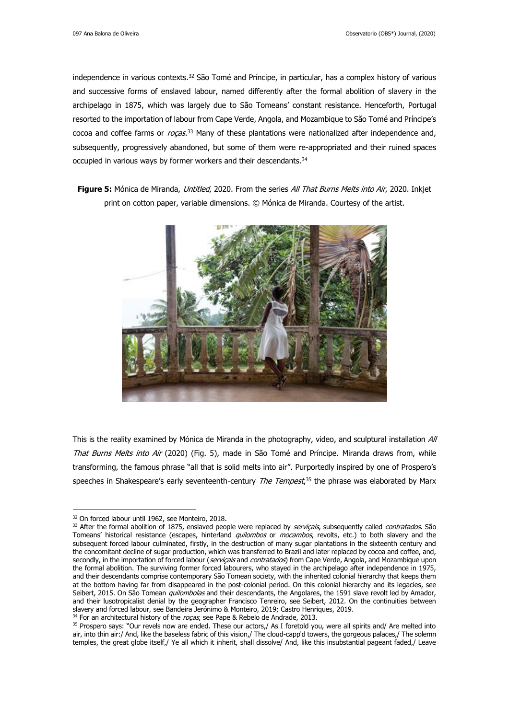independence in various contexts.<sup>32</sup> São Tomé and Príncipe, in particular, has a complex history of various and successive forms of enslaved labour, named differently after the formal abolition of slavery in the archipelago in 1875, which was largely due to São Tomeans' constant resistance. Henceforth, Portugal resorted to the importation of labour from Cape Verde, Angola, and Mozambique to São Tomé and Príncipe's cocoa and coffee farms or *roças*.<sup>33</sup> Many of these plantations were nationalized after independence and, subsequently, progressively abandoned, but some of them were re-appropriated and their ruined spaces occupied in various ways by former workers and their descendants.<sup>34</sup>

**Figure 5:** Mónica de Miranda, Untitled, 2020. From the series All That Burns Melts into Air, 2020. Inkjet print on cotton paper, variable dimensions. © Mónica de Miranda. Courtesy of the artist.



This is the reality examined by Mónica de Miranda in the photography, video, and sculptural installation All That Burns Melts into Air (2020) (Fig. 5), made in São Tomé and Príncipe. Miranda draws from, while transforming, the famous phrase "all that is solid melts into air". Purportedly inspired by one of Prospero's speeches in Shakespeare's early seventeenth-century *The Tempest*,<sup>35</sup> the phrase was elaborated by Marx

<sup>&</sup>lt;sup>32</sup> On forced labour until 1962, see Monteiro, 2018.

<sup>33</sup> After the formal abolition of 1875, enslaved people were replaced by serviçais, subsequently called contratados. São Tomeans' historical resistance (escapes, hinterland quilombos or mocambos, revolts, etc.) to both slavery and the subsequent forced labour culminated, firstly, in the destruction of many sugar plantations in the sixteenth century and the concomitant decline of sugar production, which was transferred to Brazil and later replaced by cocoa and coffee, and, secondly, in the importation of forced labour (serviçais and contratados) from Cape Verde, Angola, and Mozambique upon the formal abolition. The surviving former forced labourers, who stayed in the archipelago after independence in 1975, and their descendants comprise contemporary São Tomean society, with the inherited colonial hierarchy that keeps them at the bottom having far from disappeared in the post-colonial period. On this colonial hierarchy and its legacies, see Seibert, 2015. On São Tomean quilombolas and their descendants, the Angolares, the 1591 slave revolt led by Amador, and their lusotropicalist denial by the geographer Francisco Tenreiro, see Seibert, 2012. On the continuities between slavery and forced labour, see Bandeira Jerónimo & Monteiro, 2019; Castro Henriques, 2019.

 $34$  For an architectural history of the rocas, see Pape & Rebelo de Andrade, 2013.

<sup>&</sup>lt;sup>35</sup> Prospero says: "Our revels now are ended. These our actors,/ As I foretold you, were all spirits and/ Are melted into air, into thin air:/ And, like the baseless fabric of this vision,/ The cloud-capp'd towers, the gorgeous palaces,/ The solemn temples, the great globe itself,/ Ye all which it inherit, shall dissolve/ And, like this insubstantial pageant faded,/ Leave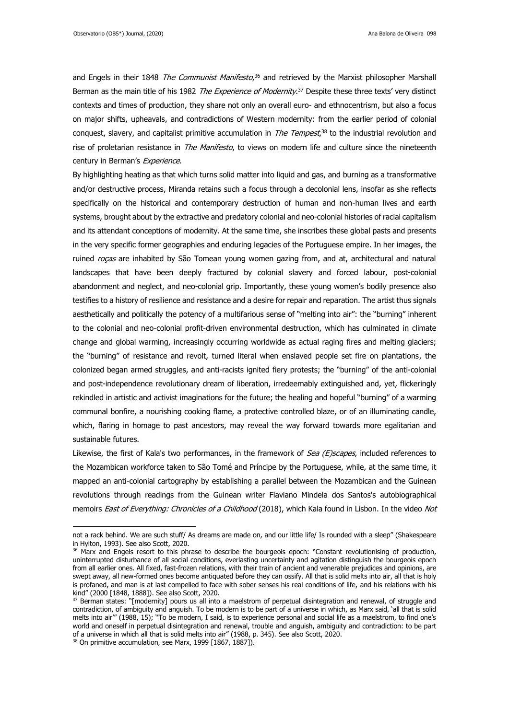and Engels in their 1848 The Communist Manifesto,<sup>36</sup> and retrieved by the Marxist philosopher Marshall Berman as the main title of his 1982 The Experience of Modernity.<sup>37</sup> Despite these three texts' very distinct contexts and times of production, they share not only an overall euro- and ethnocentrism, but also a focus on major shifts, upheavals, and contradictions of Western modernity: from the earlier period of colonial conquest, slavery, and capitalist primitive accumulation in *The Tempest*,<sup>38</sup> to the industrial revolution and rise of proletarian resistance in *The Manifesto*, to views on modern life and culture since the nineteenth century in Berman's Experience.

By highlighting heating as that which turns solid matter into liquid and gas, and burning as a transformative and/or destructive process, Miranda retains such a focus through a decolonial lens, insofar as she reflects specifically on the historical and contemporary destruction of human and non-human lives and earth systems, brought about by the extractive and predatory colonial and neo-colonial histories of racial capitalism and its attendant conceptions of modernity. At the same time, she inscribes these global pasts and presents in the very specific former geographies and enduring legacies of the Portuguese empire. In her images, the ruined *rocas* are inhabited by São Tomean young women gazing from, and at, architectural and natural landscapes that have been deeply fractured by colonial slavery and forced labour, post-colonial abandonment and neglect, and neo-colonial grip. Importantly, these young women's bodily presence also testifies to a history of resilience and resistance and a desire for repair and reparation. The artist thus signals aesthetically and politically the potency of a multifarious sense of "melting into air": the "burning" inherent to the colonial and neo-colonial profit-driven environmental destruction, which has culminated in climate change and global warming, increasingly occurring worldwide as actual raging fires and melting glaciers; the "burning" of resistance and revolt, turned literal when enslaved people set fire on plantations, the colonized began armed struggles, and anti-racists ignited fiery protests; the "burning" of the anti-colonial and post-independence revolutionary dream of liberation, irredeemably extinguished and, yet, flickeringly rekindled in artistic and activist imaginations for the future; the healing and hopeful "burning" of a warming communal bonfire, a nourishing cooking flame, a protective controlled blaze, or of an illuminating candle, which, flaring in homage to past ancestors, may reveal the way forward towards more egalitarian and sustainable futures.

Likewise, the first of Kala's two performances, in the framework of Sea (E)scapes, included references to the Mozambican workforce taken to São Tomé and Príncipe by the Portuguese, while, at the same time, it mapped an anti-colonial cartography by establishing a parallel between the Mozambican and the Guinean revolutions through readings from the Guinean writer Flaviano Mindela dos Santos's autobiographical memoirs East of Everything: Chronicles of a Childhood (2018), which Kala found in Lisbon. In the video Not

not a rack behind. We are such stuff/ As dreams are made on, and our little life/ Is rounded with a sleep" (Shakespeare in Hylton, 1993). See also Scott, 2020.

<sup>&</sup>lt;sup>36</sup> Marx and Engels resort to this phrase to describe the bourgeois epoch: "Constant revolutionising of production, uninterrupted disturbance of all social conditions, everlasting uncertainty and agitation distinguish the bourgeois epoch from all earlier ones. All fixed, fast-frozen relations, with their train of ancient and venerable prejudices and opinions, are swept away, all new-formed ones become antiquated before they can ossify. All that is solid melts into air, all that is holy is profaned, and man is at last compelled to face with sober senses his real conditions of life, and his relations with his kind" (2000 [1848, 1888]). See also Scott, 2020.

<sup>&</sup>lt;sup>37</sup> Berman states: "[modernity] pours us all into a maelstrom of perpetual disintegration and renewal, of struggle and contradiction, of ambiguity and anguish. To be modern is to be part of a universe in which, as Marx said, 'all that is solid melts into air'" (1988, 15); "To be modern, I said, is to experience personal and social life as a maelstrom, to find one's world and oneself in perpetual disintegration and renewal, trouble and anguish, ambiguity and contradiction: to be part of a universe in which all that is solid melts into air" (1988, p. 345). See also Scott, 2020.

 $38$  On primitive accumulation, see Marx, 1999 [1867, 1887]).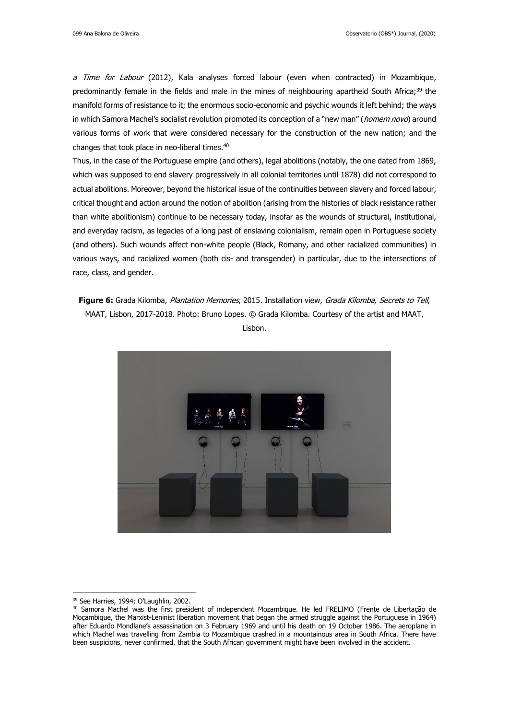a Time for Labour (2012), Kala analyses forced labour (even when contracted) in Mozambique, predominantly female in the fields and male in the mines of neighbouring apartheid South Africa;<sup>39</sup> the manifold forms of resistance to it; the enormous socio-economic and psychic wounds it left behind; the ways in which Samora Machel's socialist revolution promoted its conception of a "new man" (homem novo) around various forms of work that were considered necessary for the construction of the new nation; and the changes that took place in neo-liberal times.<sup>40</sup>

Thus, in the case of the Portuguese empire (and others), legal abolitions (notably, the one dated from 1869, which was supposed to end slavery progressively in all colonial territories until 1878) did not correspond to actual abolitions. Moreover, beyond the historical issue of the continuities between slavery and forced labour, critical thought and action around the notion of abolition (arising from the histories of black resistance rather than white abolitionism) continue to be necessary today, insofar as the wounds of structural, institutional, and everyday racism, as legacies of a long past of enslaving colonialism, remain open in Portuguese society (and others). Such wounds affect non-white people (Black, Romany, and other racialized communities) in various ways, and racialized women (both cis- and transgender) in particular, due to the intersections of race, class, and gender.

**Figure 6:** Grada Kilomba, Plantation Memories, 2015. Installation view, Grada Kilomba, Secrets to Tell, MAAT, Lisbon, 2017-2018. Photo: Bruno Lopes. © Grada Kilomba. Courtesy of the artist and MAAT, Lisbon.



<sup>39</sup> See Harries, 1994; O'Laughlin, 2002.

<sup>40</sup> Samora Machel was the first president of independent Mozambique. He led FRELIMO (Frente de Libertação de Moçambique, the Marxist-Leninist liberation movement that began the armed struggle against the Portuguese in 1964) after Eduardo Mondlane's assassination on 3 February 1969 and until his death on 19 October 1986. The aeroplane in which Machel was travelling from Zambia to Mozambique crashed in a mountainous area in South Africa. There have been suspicions, never confirmed, that the South African government might have been involved in the accident.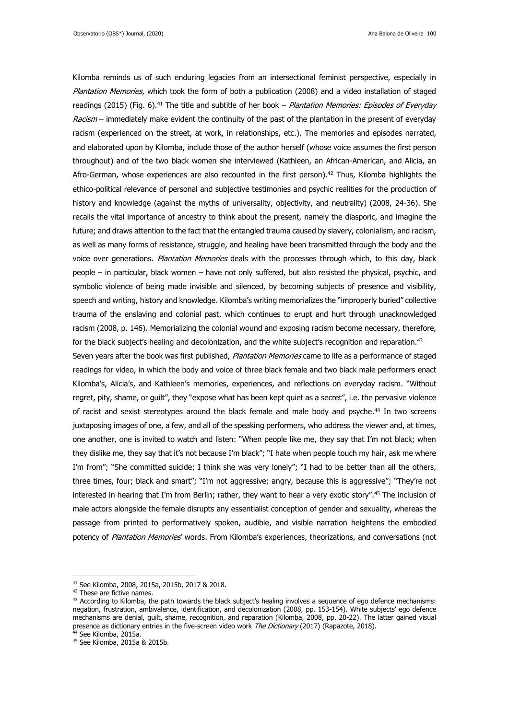Kilomba reminds us of such enduring legacies from an intersectional feminist perspective, especially in Plantation Memories, which took the form of both a publication (2008) and a video installation of staged readings (2015) (Fig. 6).<sup>41</sup> The title and subtitle of her book – Plantation Memories: Episodes of Everyday Racism – immediately make evident the continuity of the past of the plantation in the present of everyday racism (experienced on the street, at work, in relationships, etc.). The memories and episodes narrated, and elaborated upon by Kilomba, include those of the author herself (whose voice assumes the first person throughout) and of the two black women she interviewed (Kathleen, an African-American, and Alicia, an Afro-German, whose experiences are also recounted in the first person). <sup>42</sup> Thus, Kilomba highlights the ethico-political relevance of personal and subjective testimonies and psychic realities for the production of history and knowledge (against the myths of universality, objectivity, and neutrality) (2008, 24-36). She recalls the vital importance of ancestry to think about the present, namely the diasporic, and imagine the future; and draws attention to the fact that the entangled trauma caused by slavery, colonialism, and racism, as well as many forms of resistance, struggle, and healing have been transmitted through the body and the voice over generations. Plantation Memories deals with the processes through which, to this day, black people – in particular, black women – have not only suffered, but also resisted the physical, psychic, and symbolic violence of being made invisible and silenced, by becoming subjects of presence and visibility, speech and writing, history and knowledge. Kilomba's writing memorializes the "improperly buried" collective trauma of the enslaving and colonial past, which continues to erupt and hurt through unacknowledged racism (2008, p. 146). Memorializing the colonial wound and exposing racism become necessary, therefore, for the black subject's healing and decolonization, and the white subject's recognition and reparation.<sup>43</sup>

Seven years after the book was first published, Plantation Memories came to life as a performance of staged readings for video, in which the body and voice of three black female and two black male performers enact Kilomba's, Alicia's, and Kathleen's memories, experiences, and reflections on everyday racism. "Without regret, pity, shame, or guilt", they "expose what has been kept quiet as a secret", i.e. the pervasive violence of racist and sexist stereotypes around the black female and male body and psyche.<sup>44</sup> In two screens juxtaposing images of one, a few, and all of the speaking performers, who address the viewer and, at times, one another, one is invited to watch and listen: "When people like me, they say that I'm not black; when they dislike me, they say that it's not because I'm black"; "I hate when people touch my hair, ask me where I'm from"; "She committed suicide; I think she was very lonely"; "I had to be better than all the others, three times, four; black and smart"; "I'm not aggressive; angry, because this is aggressive"; "They're not interested in hearing that I'm from Berlin; rather, they want to hear a very exotic story".<sup>45</sup> The inclusion of male actors alongside the female disrupts any essentialist conception of gender and sexuality, whereas the passage from printed to performatively spoken, audible, and visible narration heightens the embodied potency of Plantation Memories' words. From Kilomba's experiences, theorizations, and conversations (not

<sup>41</sup> See Kilomba, 2008, 2015a, 2015b, 2017 & 2018.

<sup>&</sup>lt;sup>42</sup> These are fictive names.

 $43$  According to Kilomba, the path towards the black subject's healing involves a sequence of ego defence mechanisms: negation, frustration, ambivalence, identification, and decolonization (2008, pp. 153-154). White subjects' ego defence mechanisms are denial, guilt, shame, recognition, and reparation (Kilomba, 2008, pp. 20-22). The latter gained visual presence as dictionary entries in the five-screen video work *The Dictionary* (2017) (Rapazote, 2018).

<sup>&</sup>lt;sup>44</sup> See Kilomba, 2015a.

<sup>45</sup> See Kilomba, 2015a & 2015b.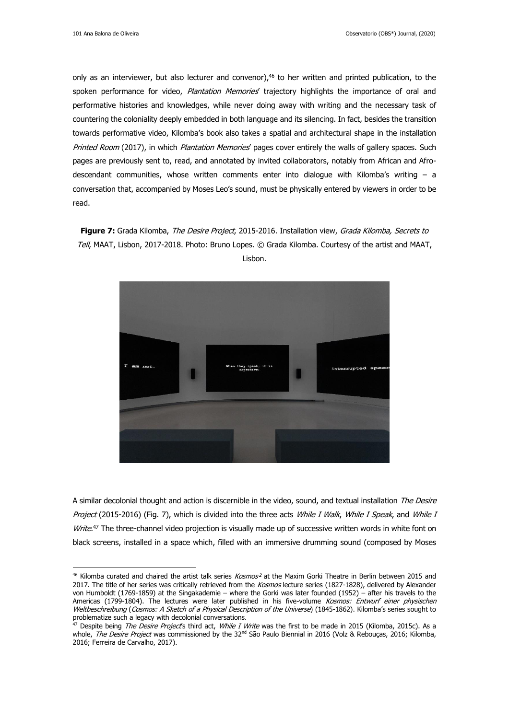only as an interviewer, but also lecturer and convenor), <sup>46</sup> to her written and printed publication, to the spoken performance for video, Plantation Memories' trajectory highlights the importance of oral and performative histories and knowledges, while never doing away with writing and the necessary task of countering the coloniality deeply embedded in both language and its silencing. In fact, besides the transition towards performative video, Kilomba's book also takes a spatial and architectural shape in the installation Printed Room (2017), in which Plantation Memories' pages cover entirely the walls of gallery spaces. Such pages are previously sent to, read, and annotated by invited collaborators, notably from African and Afrodescendant communities, whose written comments enter into dialogue with Kilomba's writing – a conversation that, accompanied by Moses Leo's sound, must be physically entered by viewers in order to be read.

**Figure 7:** Grada Kilomba, The Desire Project, 2015-2016. Installation view, Grada Kilomba, Secrets to Tell, MAAT, Lisbon, 2017-2018. Photo: Bruno Lopes. © Grada Kilomba. Courtesy of the artist and MAAT, Lisbon.



A similar decolonial thought and action is discernible in the video, sound, and textual installation The Desire Project (2015-2016) (Fig. 7), which is divided into the three acts While I Walk, While I Speak, and While I Write.<sup>47</sup> The three-channel video projection is visually made up of successive written words in white font on black screens, installed in a space which, filled with an immersive drumming sound (composed by Moses

<sup>&</sup>lt;sup>46</sup> Kilomba curated and chaired the artist talk series *Kosmos*<sup>2</sup> at the Maxim Gorki Theatre in Berlin between 2015 and 2017. The title of her series was critically retrieved from the Kosmos lecture series (1827-1828), delivered by Alexander von Humboldt (1769-1859) at the Singakademie – where the Gorki was later founded (1952) – after his travels to the Americas (1799-1804). The lectures were later published in his five-volume Kosmos: Entwurf einer physischen Weltbeschreibung (Cosmos: A Sketch of a Physical Description of the Universe) (1845-1862). Kilomba's series sought to problematize such a legacy with decolonial conversations.

<sup>&</sup>lt;sup>47</sup> Despite being *The Desire Project's* third act, *While I Write* was the first to be made in 2015 (Kilomba, 2015c). As a whole, The Desire Project was commissioned by the 32<sup>nd</sup> São Paulo Biennial in 2016 (Volz & Rebouças, 2016; Kilomba, 2016; Ferreira de Carvalho, 2017).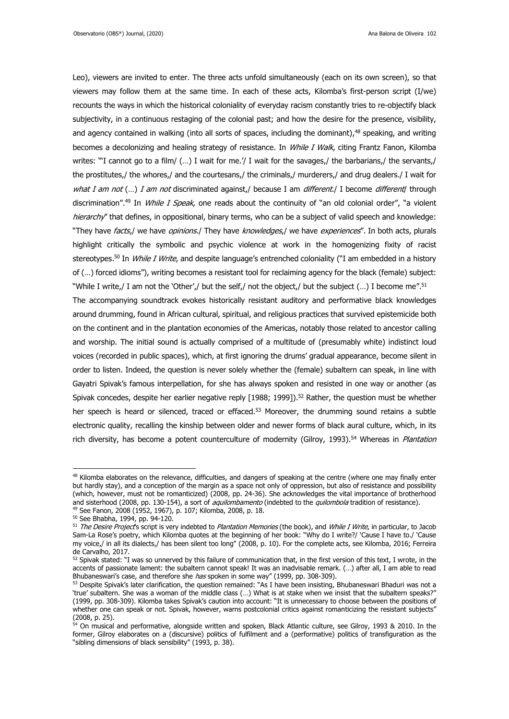Leo), viewers are invited to enter. The three acts unfold simultaneously (each on its own screen), so that viewers may follow them at the same time. In each of these acts, Kilomba's first-person script (I/we) recounts the ways in which the historical coloniality of everyday racism constantly tries to re-objectify black subjectivity, in a continuous restaging of the colonial past; and how the desire for the presence, visibility, and agency contained in walking (into all sorts of spaces, including the dominant),<sup>48</sup> speaking, and writing becomes a decolonizing and healing strategy of resistance. In *While I Walk*, citing Frantz Fanon, Kilomba writes: "'I cannot go to a film/ (…) I wait for me.'/ I wait for the savages,/ the barbarians,/ the servants,/ the prostitutes,/ the whores,/ and the courtesans,/ the criminals,/ murderers,/ and drug dealers./ I wait for what I am not  $(...)$  I am not discriminated against, because I am *different*. I become *different* through discrimination".<sup>49</sup> In *While I Speak*, one reads about the continuity of "an old colonial order", "a violent hierarchy" that defines, in oppositional, binary terms, who can be a subject of valid speech and knowledge: "They have facts,/ we have *opinions.*/ They have knowledges,/ we have experiences". In both acts, plurals highlight critically the symbolic and psychic violence at work in the homogenizing fixity of racist stereotypes.<sup>50</sup> In *While I Write*, and despite language's entrenched coloniality ("I am embedded in a history of (…) forced idioms"), writing becomes a resistant tool for reclaiming agency for the black (female) subject: "While I write,/ I am not the 'Other',/ but the self,/ not the object,/ but the subject (...) I become me".<sup>51</sup> The accompanying soundtrack evokes historically resistant auditory and performative black knowledges around drumming, found in African cultural, spiritual, and religious practices that survived epistemicide both on the continent and in the plantation economies of the Americas, notably those related to ancestor calling and worship. The initial sound is actually comprised of a multitude of (presumably white) indistinct loud voices (recorded in public spaces), which, at first ignoring the drums' gradual appearance, become silent in order to listen. Indeed, the question is never solely whether the (female) subaltern can speak, in line with Gayatri Spivak's famous interpellation, for she has always spoken and resisted in one way or another (as Spivak concedes, despite her earlier negative reply [1988; 1999]).<sup>52</sup> Rather, the question must be whether

electronic quality, recalling the kinship between older and newer forms of black aural culture, which, in its rich diversity, has become a potent counterculture of modernity (Gilroy, 1993).<sup>54</sup> Whereas in *Plantation* 

her speech is heard or silenced, traced or effaced.<sup>53</sup> Moreover, the drumming sound retains a subtle

<sup>&</sup>lt;sup>48</sup> Kilomba elaborates on the relevance, difficulties, and dangers of speaking at the centre (where one may finally enter but hardly stay), and a conception of the margin as a space not only of oppression, but also of resistance and possibility (which, however, must not be romanticized) (2008, pp. 24-36). She acknowledges the vital importance of brotherhood and sisterhood (2008, pp. 130-154), a sort of *aquilombamento* (indebted to the *quilombola* tradition of resistance).

<sup>49</sup> See Fanon, 2008 (1952, 1967), p. 107; Kilomba, 2008, p. 18.

<sup>50</sup> See Bhabha, 1994, pp. 94-120.

<sup>&</sup>lt;sup>51</sup> The Desire Project's script is very indebted to Plantation Memories (the book), and While I Write, in particular, to Jacob Sam-La Rose's poetry, which Kilomba quotes at the beginning of her book: "Why do I write?/ 'Cause I have to./ 'Cause my voice,/ in all its dialects,/ has been silent too long" (2008, p. 10). For the complete acts, see Kilomba, 2016; Ferreira de Carvalho, 2017.

<sup>52</sup> Spivak stated: "I was so unnerved by this failure of communication that, in the first version of this text, I wrote, in the accents of passionate lament: the subaltern cannot speak! It was an inadvisable remark. (…) after all, I am able to read Bhubaneswari's case, and therefore she *has* spoken in some way" (1999, pp. 308-309).

<sup>53</sup> Despite Spivak's later clarification, the question remained: "As I have been insisting, Bhubaneswari Bhaduri was not a 'true' subaltern. She was a woman of the middle class (…) What is at stake when we insist that the subaltern speaks?" (1999, pp. 308-309). Kilomba takes Spivak's caution into account: "It is unnecessary to choose between the positions of whether one can speak or not. Spivak, however, warns postcolonial critics against romanticizing the resistant subjects" (2008, p. 25).

<sup>54</sup> On musical and performative, alongside written and spoken, Black Atlantic culture, see Gilroy, 1993 & 2010. In the former, Gilroy elaborates on a (discursive) politics of fulfilment and a (performative) politics of transfiguration as the "sibling dimensions of black sensibility" (1993, p. 38).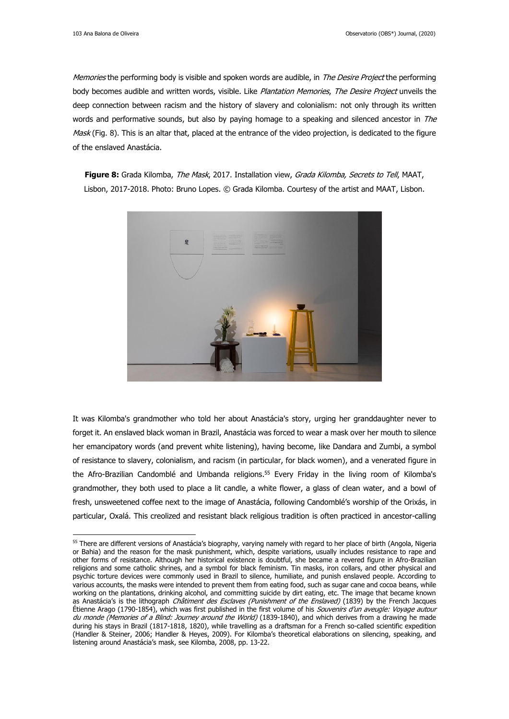Memories the performing body is visible and spoken words are audible, in The Desire Project the performing body becomes audible and written words, visible. Like Plantation Memories, The Desire Project unveils the deep connection between racism and the history of slavery and colonialism: not only through its written words and performative sounds, but also by paying homage to a speaking and silenced ancestor in The Mask (Fig. 8). This is an altar that, placed at the entrance of the video projection, is dedicated to the figure of the enslaved Anastácia.

**Figure 8:** Grada Kilomba, The Mask, 2017. Installation view, Grada Kilomba, Secrets to Tell, MAAT, Lisbon, 2017-2018. Photo: Bruno Lopes. © Grada Kilomba. Courtesy of the artist and MAAT, Lisbon.



It was Kilomba's grandmother who told her about Anastácia's story, urging her granddaughter never to forget it. An enslaved black woman in Brazil, Anastácia was forced to wear a mask over her mouth to silence her emancipatory words (and prevent white listening), having become, like Dandara and Zumbi, a symbol of resistance to slavery, colonialism, and racism (in particular, for black women), and a venerated figure in the Afro-Brazilian Candomblé and Umbanda religions. <sup>55</sup> Every Friday in the living room of Kilomba's grandmother, they both used to place a lit candle, a white flower, a glass of clean water, and a bowl of fresh, unsweetened coffee next to the image of Anastácia, following Candomblé's worship of the Orixás, in particular, Oxalá. This creolized and resistant black religious tradition is often practiced in ancestor-calling

<sup>&</sup>lt;sup>55</sup> There are different versions of Anastácia's biography, varying namely with regard to her place of birth (Angola, Nigeria or Bahia) and the reason for the mask punishment, which, despite variations, usually includes resistance to rape and other forms of resistance. Although her historical existence is doubtful, she became a revered figure in Afro-Brazilian religions and some catholic shrines, and a symbol for black feminism. Tin masks, iron collars, and other physical and psychic torture devices were commonly used in Brazil to silence, humiliate, and punish enslaved people. According to various accounts, the masks were intended to prevent them from eating food, such as sugar cane and cocoa beans, while working on the plantations, drinking alcohol, and committing suicide by dirt eating, etc. The image that became known as Anastácia's is the lithograph Châtiment des Esclaves (Punishment of the Enslaved) (1839) by the French Jacques Étienne Arago (1790-1854), which was first published in the first volume of his Souvenirs d'un aveugle: Voyage autour du monde (Memories of a Blind: Journey around the World) (1839-1840), and which derives from a drawing he made during his stays in Brazil (1817-1818, 1820), while travelling as a draftsman for a French so-called scientific expedition (Handler & Steiner, 2006; Handler & Heyes, 2009). For Kilomba's theoretical elaborations on silencing, speaking, and listening around Anastácia's mask, see Kilomba, 2008, pp. 13-22.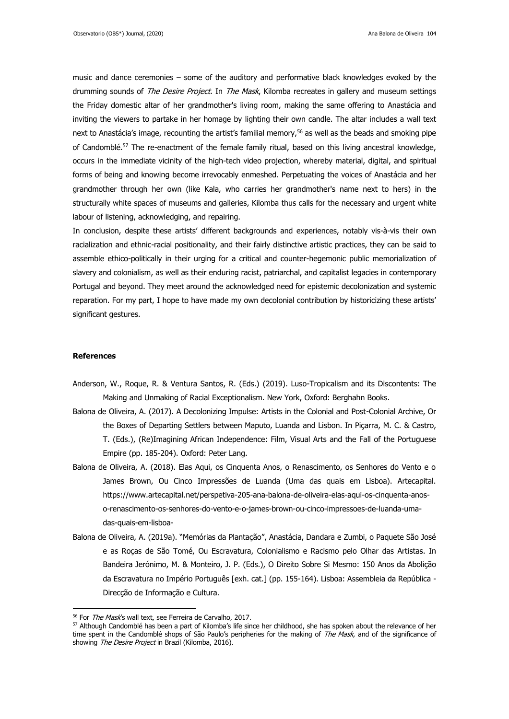music and dance ceremonies – some of the auditory and performative black knowledges evoked by the drumming sounds of *The Desire Project*. In *The Mask*, Kilomba recreates in gallery and museum settings the Friday domestic altar of her grandmother's living room, making the same offering to Anastácia and inviting the viewers to partake in her homage by lighting their own candle. The altar includes a wall text next to Anastácia's image, recounting the artist's familial memory, <sup>56</sup> as well as the beads and smoking pipe of Candomblé.<sup>57</sup> The re-enactment of the female family ritual, based on this living ancestral knowledge, occurs in the immediate vicinity of the high-tech video projection, whereby material, digital, and spiritual forms of being and knowing become irrevocably enmeshed. Perpetuating the voices of Anastácia and her grandmother through her own (like Kala, who carries her grandmother's name next to hers) in the structurally white spaces of museums and galleries, Kilomba thus calls for the necessary and urgent white labour of listening, acknowledging, and repairing.

In conclusion, despite these artists' different backgrounds and experiences, notably vis-à-vis their own racialization and ethnic-racial positionality, and their fairly distinctive artistic practices, they can be said to assemble ethico-politically in their urging for a critical and counter-hegemonic public memorialization of slavery and colonialism, as well as their enduring racist, patriarchal, and capitalist legacies in contemporary Portugal and beyond. They meet around the acknowledged need for epistemic decolonization and systemic reparation. For my part, I hope to have made my own decolonial contribution by historicizing these artists' significant gestures.

### **References**

- Anderson, W., Roque, R. & Ventura Santos, R. (Eds.) (2019). Luso-Tropicalism and its Discontents: The Making and Unmaking of Racial Exceptionalism. New York, Oxford: Berghahn Books.
- Balona de Oliveira, A. (2017). A Decolonizing Impulse: Artists in the Colonial and Post-Colonial Archive, Or the Boxes of Departing Settlers between Maputo, Luanda and Lisbon. In Piçarra, M. C. & Castro, T. (Eds.), (Re)Imagining African Independence: Film, Visual Arts and the Fall of the Portuguese Empire (pp. 185-204). Oxford: Peter Lang.
- Balona de Oliveira, A. (2018). Elas Aqui, os Cinquenta Anos, o Renascimento, os Senhores do Vento e o James Brown, Ou Cinco Impressões de Luanda (Uma das quais em Lisboa). Artecapital. https://www.artecapital.net/perspetiva-205-ana-balona-de-oliveira-elas-aqui-os-cinquenta-anoso-renascimento-os-senhores-do-vento-e-o-james-brown-ou-cinco-impressoes-de-luanda-umadas-quais-em-lisboa-
- Balona de Oliveira, A. (2019a). "Memórias da Plantação", Anastácia, Dandara e Zumbi, o Paquete São José e as Roças de São Tomé, Ou Escravatura, Colonialismo e Racismo pelo Olhar das Artistas. In Bandeira Jerónimo, M. & Monteiro, J. P. (Eds.), O Direito Sobre Si Mesmo: 150 Anos da Abolição da Escravatura no Império Português [exh. cat.] (pp. 155-164). Lisboa: Assembleia da República - Direcção de Informação e Cultura.

<sup>&</sup>lt;sup>56</sup> For The Mask's wall text, see Ferreira de Carvalho, 2017.

<sup>57</sup> Although Candomblé has been a part of Kilomba's life since her childhood, she has spoken about the relevance of her time spent in the Candomblé shops of São Paulo's peripheries for the making of The Mask, and of the significance of showing *The Desire Project* in Brazil (Kilomba, 2016).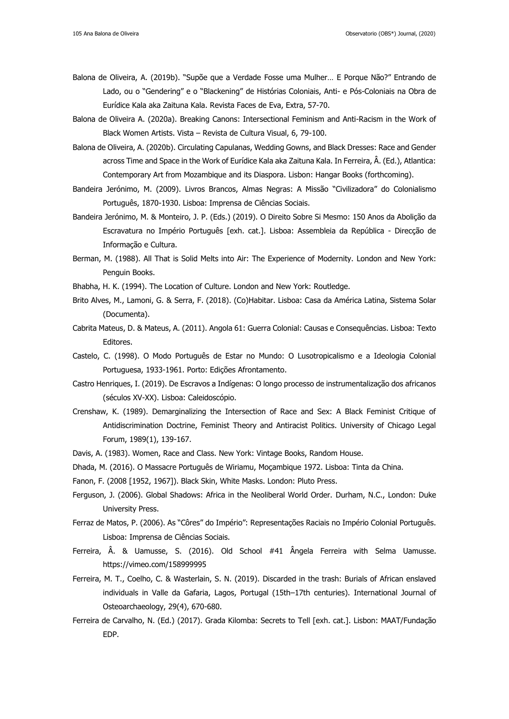- Balona de Oliveira, A. (2019b). "Supõe que a Verdade Fosse uma Mulher… E Porque Não?" Entrando de Lado, ou o "Gendering" e o "Blackening" de Histórias Coloniais, Anti- e Pós-Coloniais na Obra de Eurídice Kala aka Zaituna Kala. Revista Faces de Eva, Extra, 57-70.
- Balona de Oliveira A. (2020a). Breaking Canons: Intersectional Feminism and Anti-Racism in the Work of Black Women Artists. Vista – Revista de Cultura Visual, 6, 79-100.
- Balona de Oliveira, A. (2020b). Circulating Capulanas, Wedding Gowns, and Black Dresses: Race and Gender across Time and Space in the Work of Eurídice Kala aka Zaituna Kala. In Ferreira, Â. (Ed.), Atlantica: Contemporary Art from Mozambique and its Diaspora. Lisbon: Hangar Books (forthcoming).
- Bandeira Jerónimo, M. (2009). Livros Brancos, Almas Negras: A Missão "Civilizadora" do Colonialismo Português, 1870-1930. Lisboa: Imprensa de Ciências Sociais.
- Bandeira Jerónimo, M. & Monteiro, J. P. (Eds.) (2019). O Direito Sobre Si Mesmo: 150 Anos da Abolição da Escravatura no Império Português [exh. cat.]. Lisboa: Assembleia da República - Direcção de Informação e Cultura.
- Berman, M. (1988). All That is Solid Melts into Air: The Experience of Modernity. London and New York: Penguin Books.
- Bhabha, H. K. (1994). The Location of Culture. London and New York: Routledge.
- Brito Alves, M., Lamoni, G. & Serra, F. (2018). (Co)Habitar. Lisboa: Casa da América Latina, Sistema Solar (Documenta).
- Cabrita Mateus, D. & Mateus, A. (2011). Angola 61: Guerra Colonial: Causas e Consequências. Lisboa: Texto Editores.
- Castelo, C. (1998). O Modo Português de Estar no Mundo: O Lusotropicalismo e a Ideologia Colonial Portuguesa, 1933-1961. Porto: Edições Afrontamento.
- Castro Henriques, I. (2019). De Escravos a Indígenas: O longo processo de instrumentalização dos africanos (séculos XV-XX). Lisboa: Caleidoscópio.
- Crenshaw, K. (1989). Demarginalizing the Intersection of Race and Sex: A Black Feminist Critique of Antidiscrimination Doctrine, Feminist Theory and Antiracist Politics. University of Chicago Legal Forum, 1989(1), 139-167.
- Davis, A. (1983). Women, Race and Class. New York: Vintage Books, Random House.
- Dhada, M. (2016). O Massacre Português de Wiriamu, Moçambique 1972. Lisboa: Tinta da China.
- Fanon, F. (2008 [1952, 1967]). Black Skin, White Masks. London: Pluto Press.
- Ferguson, J. (2006). Global Shadows: Africa in the Neoliberal World Order. Durham, N.C., London: Duke University Press.
- Ferraz de Matos, P. (2006). As "Côres" do Império": Representações Raciais no Império Colonial Português. Lisboa: Imprensa de Ciências Sociais.
- Ferreira, Â. & Uamusse, S. (2016). Old School #41 Ângela Ferreira with Selma Uamusse. https://vimeo.com/158999995
- Ferreira, M. T., Coelho, C. & Wasterlain, S. N. (2019). Discarded in the trash: Burials of African enslaved individuals in Valle da Gafaria, Lagos, Portugal (15th–17th centuries). International Journal of Osteoarchaeology, 29(4), 670-680.
- Ferreira de Carvalho, N. (Ed.) (2017). Grada Kilomba: Secrets to Tell [exh. cat.]. Lisbon: MAAT/Fundação EDP.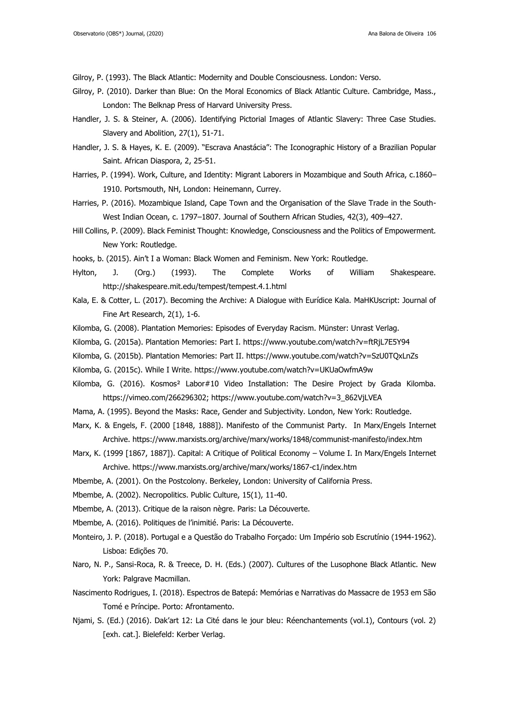Gilroy, P. (1993). The Black Atlantic: Modernity and Double Consciousness. London: Verso.

- Gilroy, P. (2010). Darker than Blue: On the Moral Economics of Black Atlantic Culture. Cambridge, Mass., London: The Belknap Press of Harvard University Press.
- Handler, J. S. & Steiner, A. (2006). Identifying Pictorial Images of Atlantic Slavery: Three Case Studies. Slavery and Abolition, 27(1), 51-71.
- Handler, J. S. & Hayes, K. E. (2009). "Escrava Anastácia": The Iconographic History of a Brazilian Popular Saint. African Diaspora, 2, 25-51.
- Harries, P. (1994). Work, Culture, and Identity: Migrant Laborers in Mozambique and South Africa, c.1860– 1910. Portsmouth, NH, London: Heinemann, Currey.
- Harries, P. (2016). Mozambique Island, Cape Town and the Organisation of the Slave Trade in the South-West Indian Ocean, c. 1797–1807. Journal of Southern African Studies, 42(3), 409–427.
- Hill Collins, P. (2009). Black Feminist Thought: Knowledge, Consciousness and the Politics of Empowerment. New York: Routledge.
- hooks, b. (2015). Ain't I a Woman: Black Women and Feminism. New York: Routledge.
- Hylton, J. (Org.) (1993). The Complete Works of William Shakespeare. http://shakespeare.mit.edu/tempest/tempest.4.1.html
- Kala, E. & Cotter, L. (2017). Becoming the Archive: A Dialogue with Eurídice Kala. MaHKUscript: Journal of Fine Art Research, 2(1), 1-6.
- Kilomba, G. (2008). Plantation Memories: Episodes of Everyday Racism. Münster: Unrast Verlag.
- Kilomba, G. (2015a). Plantation Memories: Part I. https://www.youtube.com/watch?v=ftRjL7E5Y94
- Kilomba, G. (2015b). Plantation Memories: Part II. https://www.youtube.com/watch?v=SzU0TQxLnZs
- Kilomba, G. (2015c). While I Write. https://www.youtube.com/watch?v=UKUaOwfmA9w
- Kilomba, G. (2016). Kosmos² Labor#10 Video Installation: The Desire Project by Grada Kilomba. https://vimeo.com/266296302; https://www.youtube.com/watch?v=3\_862VjLVEA
- Mama, A. (1995). Beyond the Masks: Race, Gender and Subjectivity. London, New York: Routledge.
- Marx, K. & Engels, F. (2000 [1848, 1888]). Manifesto of the Communist Party. In Marx/Engels Internet Archive. https://www.marxists.org/archive/marx/works/1848/communist-manifesto/index.htm
- Marx, K. (1999 [1867, 1887]). Capital: A Critique of Political Economy Volume I. In Marx/Engels Internet Archive. https://www.marxists.org/archive/marx/works/1867-c1/index.htm
- Mbembe, A. (2001). On the Postcolony. Berkeley, London: University of California Press.
- Mbembe, A. (2002). Necropolitics. Public Culture, 15(1), 11-40.
- Mbembe, A. (2013). Critique de la raison nègre. Paris: La Découverte.
- Mbembe, A. (2016). Politiques de l'inimitié. Paris: La Découverte.
- Monteiro, J. P. (2018). Portugal e a Questão do Trabalho Forçado: Um Império sob Escrutínio (1944-1962). Lisboa: Edições 70.
- Naro, N. P., Sansi-Roca, R. & Treece, D. H. (Eds.) (2007). Cultures of the Lusophone Black Atlantic. New York: Palgrave Macmillan.
- Nascimento Rodrigues, I. (2018). Espectros de Batepá: Memórias e Narrativas do Massacre de 1953 em São Tomé e Príncipe. Porto: Afrontamento.
- Njami, S. (Ed.) (2016). Dak'art 12: La Cité dans le jour bleu: Réenchantements (vol.1), Contours (vol. 2) [exh. cat.]. Bielefeld: Kerber Verlag.